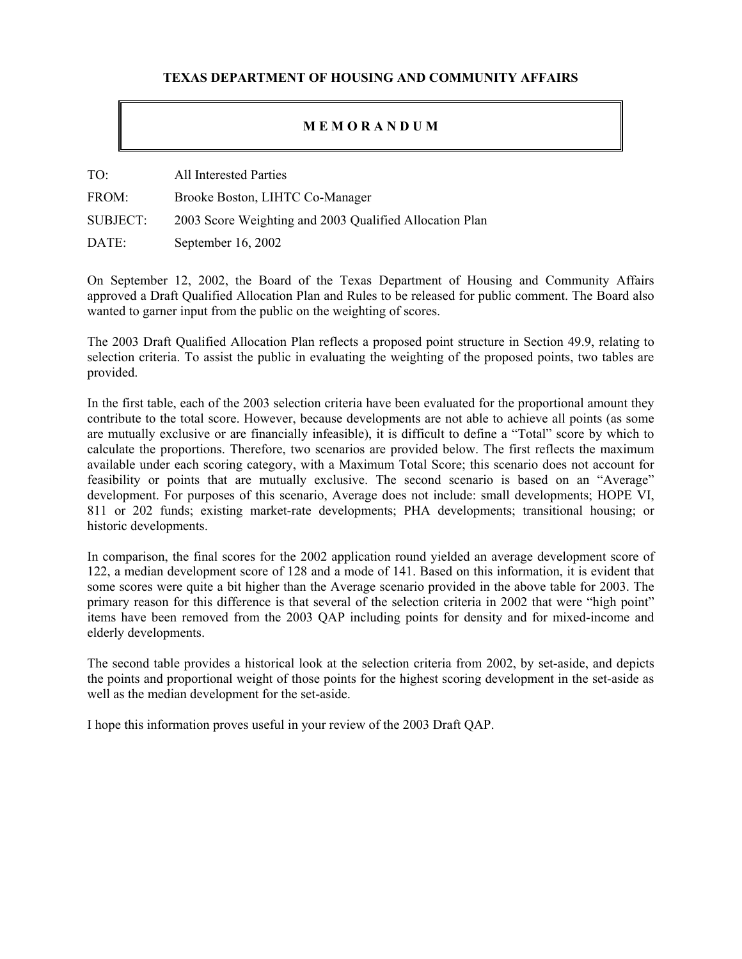## **TEXAS DEPARTMENT OF HOUSING AND COMMUNITY AFFAIRS**

## **M E M O R A N D U M**

TO: All Interested Parties

FROM: Brooke Boston, LIHTC Co-Manager

SUBJECT: 2003 Score Weighting and 2003 Qualified Allocation Plan

DATE: September 16, 2002

On September 12, 2002, the Board of the Texas Department of Housing and Community Affairs approved a Draft Qualified Allocation Plan and Rules to be released for public comment. The Board also wanted to garner input from the public on the weighting of scores.

The 2003 Draft Qualified Allocation Plan reflects a proposed point structure in Section 49.9, relating to selection criteria. To assist the public in evaluating the weighting of the proposed points, two tables are provided.

In the first table, each of the 2003 selection criteria have been evaluated for the proportional amount they contribute to the total score. However, because developments are not able to achieve all points (as some are mutually exclusive or are financially infeasible), it is difficult to define a "Total" score by which to calculate the proportions. Therefore, two scenarios are provided below. The first reflects the maximum available under each scoring category, with a Maximum Total Score; this scenario does not account for feasibility or points that are mutually exclusive. The second scenario is based on an "Average" development. For purposes of this scenario, Average does not include: small developments; HOPE VI, 811 or 202 funds; existing market-rate developments; PHA developments; transitional housing; or historic developments.

In comparison, the final scores for the 2002 application round yielded an average development score of 122, a median development score of 128 and a mode of 141. Based on this information, it is evident that some scores were quite a bit higher than the Average scenario provided in the above table for 2003. The primary reason for this difference is that several of the selection criteria in 2002 that were "high point" items have been removed from the 2003 QAP including points for density and for mixed-income and elderly developments.

The second table provides a historical look at the selection criteria from 2002, by set-aside, and depicts the points and proportional weight of those points for the highest scoring development in the set-aside as well as the median development for the set-aside.

I hope this information proves useful in your review of the 2003 Draft QAP.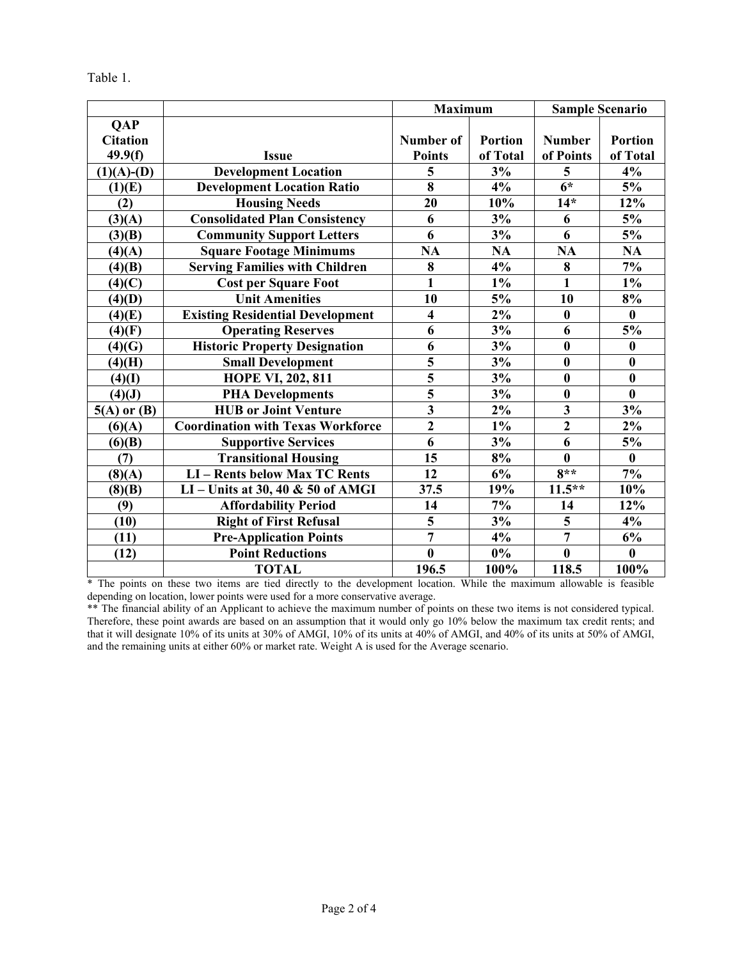| `able |  |
|-------|--|
|       |  |

|                 |                                          | <b>Maximum</b>                       |                | <b>Sample Scenario</b>  |                |  |
|-----------------|------------------------------------------|--------------------------------------|----------------|-------------------------|----------------|--|
| <b>QAP</b>      |                                          |                                      |                |                         |                |  |
| <b>Citation</b> |                                          | <b>Number of</b>                     | <b>Portion</b> | <b>Number</b>           | <b>Portion</b> |  |
| 49.9(f)         | <b>Issue</b>                             | <b>Points</b>                        | of Total       | of Points               | of Total       |  |
| $(1)(A)- (D)$   | <b>Development Location</b>              | 5                                    | 3%             | 5                       | 4%             |  |
| (1)(E)          | <b>Development Location Ratio</b>        | 8                                    | 4%             | $\overline{6^*}$        | 5%             |  |
| (2)             | <b>Housing Needs</b>                     | 20                                   | 10%            | $14*$                   | 12%            |  |
| (3)(A)          | <b>Consolidated Plan Consistency</b>     | 6                                    | 3%             | 6                       | 5%             |  |
| (3)(B)          | <b>Community Support Letters</b>         | 6                                    | 3%             | 6                       | 5%             |  |
| (4)(A)          | <b>Square Footage Minimums</b>           | <b>NA</b>                            | <b>NA</b>      | NA                      | $\mathbf{NA}$  |  |
| (4)(B)          | <b>Serving Families with Children</b>    | 8                                    | 4%             | 8                       | 7%             |  |
| (4)(C)          | <b>Cost per Square Foot</b>              | $\mathbf{1}$                         | $1\%$          | $\mathbf{1}$            | $1\%$          |  |
| (4)(D)          | <b>Unit Amenities</b>                    | 10                                   | 5%             | 10                      | 8%             |  |
| (4)(E)          | <b>Existing Residential Development</b>  | $\overline{\mathbf{4}}$              | $2\%$          | $\bf{0}$                | $\bf{0}$       |  |
| (4)(F)          | <b>Operating Reserves</b>                | 6                                    | 3%             | 6                       | 5%             |  |
| (4)(G)          | <b>Historic Property Designation</b>     | 6                                    | 3%             | $\bf{0}$                | $\bf{0}$       |  |
| $(4)$ (H)       | <b>Small Development</b>                 | $\overline{\overline{\overline{5}}}$ | 3%             | $\bf{0}$                | $\bf{0}$       |  |
| (4)(I)          | HOPE VI, 202, 811                        |                                      | 3%             | $\bf{0}$                | $\bf{0}$       |  |
| (4)(J)          | <b>PHA Developments</b>                  | $\overline{\mathbf{5}}$              | 3%             | $\bf{0}$                | $\bf{0}$       |  |
| $5(A)$ or $(B)$ | <b>HUB or Joint Venture</b>              | $\overline{\mathbf{3}}$              | $2\%$          | $\overline{\mathbf{3}}$ | 3%             |  |
| (6)(A)          | <b>Coordination with Texas Workforce</b> | $\overline{2}$                       | $1\%$          | $\overline{2}$          | 2%             |  |
| (6)(B)          | <b>Supportive Services</b>               | 6                                    | 3%             | 6                       | 5%             |  |
| (7)             | <b>Transitional Housing</b>              | 15                                   | $8\%$          | $\bf{0}$                | $\bf{0}$       |  |
| (8)(A)          | <b>LI-Rents below Max TC Rents</b>       | 12                                   | 6%             | $8**$                   | 7%             |  |
| (8)(B)          | LI – Units at 30, 40 $\&$ 50 of AMGI     | 37.5                                 | 19%            | $11.5***$               | 10%            |  |
| (9)             | <b>Affordability Period</b>              | 14                                   | 7%             | 14                      | 12%            |  |
| (10)            | <b>Right of First Refusal</b>            | $\overline{\mathbf{5}}$              | 3%             | 5                       | 4%             |  |
| (11)            | <b>Pre-Application Points</b>            | $\overline{7}$                       | 4%             | $\overline{7}$          | 6%             |  |
| (12)            | <b>Point Reductions</b>                  | $\bf{0}$                             | $0\%$          | $\mathbf{0}$            | $\bf{0}$       |  |
|                 | <b>TOTAL</b>                             | 196.5                                | 100%           | 118.5                   | 100%           |  |

\* The points on these two items are tied directly to the development location. While the maximum allowable is feasible depending on location, lower points were used for a more conservative average.

\*\* The financial ability of an Applicant to achieve the maximum number of points on these two items is not considered typical. Therefore, these point awards are based on an assumption that it would only go 10% below the maximum tax credit rents; and that it will designate 10% of its units at 30% of AMGI, 10% of its units at 40% of AMGI, and 40% of its units at 50% of AMGI, and the remaining units at either 60% or market rate. Weight A is used for the Average scenario.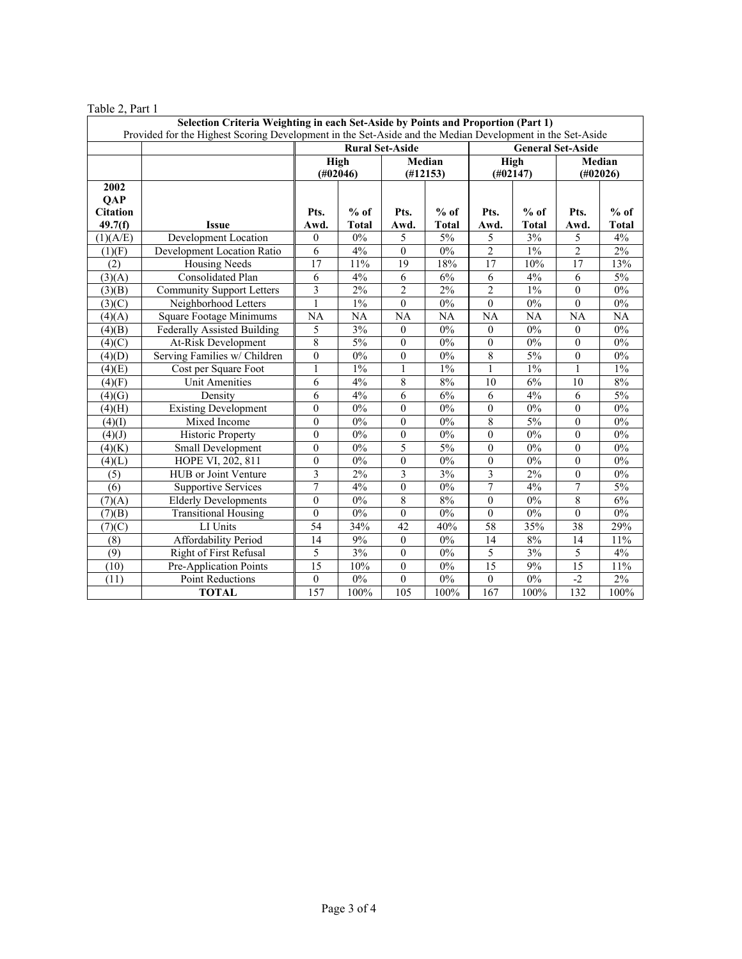| $10010 = 1010$<br>Selection Criteria Weighting in each Set-Aside by Points and Proportion (Part 1)<br>Provided for the Highest Scoring Development in the Set-Aside and the Median Development in the Set-Aside |                                    |                                   |              |                    |              |                          |              |                    |                 |
|-----------------------------------------------------------------------------------------------------------------------------------------------------------------------------------------------------------------|------------------------------------|-----------------------------------|--------------|--------------------|--------------|--------------------------|--------------|--------------------|-----------------|
|                                                                                                                                                                                                                 |                                    | <b>Rural Set-Aside</b>            |              |                    |              | <b>General Set-Aside</b> |              |                    |                 |
|                                                                                                                                                                                                                 |                                    | <b>High</b><br>$(\text{\#}02046)$ |              | Median<br>(H12153) |              | High<br>(H02147)         |              | Median<br>(H02026) |                 |
| 2002<br><b>QAP</b><br><b>Citation</b>                                                                                                                                                                           |                                    | Pts.                              | $%$ of       | Pts.               | $%$ of       | Pts.                     | $%$ of       | Pts.               | $%$ of          |
| 49.7(f)                                                                                                                                                                                                         | Issue                              | Awd.                              | <b>Total</b> | Awd.               | <b>Total</b> | Awd.                     | <b>Total</b> | Awd.               | Total           |
| (1)(A/E)                                                                                                                                                                                                        | Development Location               | $\theta$                          | 0%           | 5                  | 5%           | 5                        | 3%           | 5                  | 4%              |
| (1)(F)                                                                                                                                                                                                          | Development Location Ratio         | $\overline{6}$                    | 4%           | $\mathbf{0}$       | $0\%$        | $\overline{2}$           | $1\%$        | $\overline{2}$     | 2%              |
| (2)                                                                                                                                                                                                             | <b>Housing Needs</b>               | 17                                | 11%          | 19                 | 18%          | 17                       | 10%          | 17                 | 13%             |
| (3)(A)                                                                                                                                                                                                          | <b>Consolidated Plan</b>           | 6                                 | 4%           | 6                  | 6%           | 6                        | 4%           | 6                  | 5%              |
| (3)(B)                                                                                                                                                                                                          | <b>Community Support Letters</b>   | 3                                 | $2\%$        | 2                  | $2\%$        | $\overline{c}$           | $1\%$        | $\boldsymbol{0}$   | $0\%$           |
| (3)(C)                                                                                                                                                                                                          | Neighborhood Letters               | 1                                 | $1\%$        | $\mathbf{0}$       | $0\%$        | $\mathbf{0}$             | $0\%$        | $\mathbf{0}$       | $0\%$           |
| (4)(A)                                                                                                                                                                                                          | <b>Square Footage Minimums</b>     | NA                                | <b>NA</b>    | <b>NA</b>          | NA           | <b>NA</b>                | NA           | NA                 | $\overline{NA}$ |
| (4)(B)                                                                                                                                                                                                          | <b>Federally Assisted Building</b> | 5                                 | 3%           | $\mathbf{0}$       | $0\%$        | $\mathbf{0}$             | $0\%$        | $\mathbf{0}$       | $0\%$           |
| (4)(C)                                                                                                                                                                                                          | At-Risk Development                | 8                                 | 5%           | $\mathbf{0}$       | $0\%$        | $\mathbf{0}$             | $0\%$        | $\mathbf{0}$       | 0%              |
| (4)(D)                                                                                                                                                                                                          | Serving Families w/ Children       | $\mathbf{0}$                      | $0\%$        | $\mathbf{0}$       | $0\%$        | $\,$ 8 $\,$              | 5%           | $\mathbf{0}$       | $0\%$           |
| (4)(E)                                                                                                                                                                                                          | Cost per Square Foot               | 1                                 | $1\%$        | 1                  | $1\%$        | 1                        | $1\%$        |                    | $1\%$           |
| (4)(F)                                                                                                                                                                                                          | <b>Unit Amenities</b>              | 6                                 | 4%           | 8                  | $8\%$        | 10                       | 6%           | 10                 | $8\%$           |
| (4)(G)                                                                                                                                                                                                          | Density                            | 6                                 | 4%           | 6                  | 6%           | 6                        | 4%           | 6                  | 5%              |
| $(4)$ (H)                                                                                                                                                                                                       | <b>Existing Development</b>        | $\overline{0}$                    | $0\%$        | $\theta$           | $0\%$        | $\mathbf{0}$             | $0\%$        | $\mathbf{0}$       | $0\%$           |
| (4)(I)                                                                                                                                                                                                          | Mixed Income                       | $\overline{0}$                    | $0\%$        | $\theta$           | 0%           | 8                        | 5%           | $\mathbf{0}$       | 0%              |
| (4)(J)                                                                                                                                                                                                          | <b>Historic Property</b>           | $\overline{0}$                    | 0%           | $\mathbf{0}$       | $0\%$        | $\mathbf{0}$             | $0\%$        | $\mathbf{0}$       | 0%              |
| (4)(K)                                                                                                                                                                                                          | Small Development                  | $\overline{0}$                    | $0\%$        | 5                  | 5%           | $\theta$                 | $0\%$        | $\boldsymbol{0}$   | 0%              |
| (4)(L)                                                                                                                                                                                                          | HOPE VI, 202, 811                  | $\overline{0}$                    | $0\%$        | $\mathbf{0}$       | $0\%$        | $\mathbf{0}$             | $0\%$        | $\mathbf{0}$       | $0\%$           |
| (5)                                                                                                                                                                                                             | HUB or Joint Venture               | 3                                 | 2%           | 3                  | 3%           | 3                        | 2%           | $\theta$           | $0\%$           |
| (6)                                                                                                                                                                                                             | <b>Supportive Services</b>         | $\overline{7}$                    | 4%           | $\mathbf{0}$       | $0\%$        | $\overline{7}$           | 4%           | $\overline{7}$     | 5%              |
| (7)(A)                                                                                                                                                                                                          | <b>Elderly Developments</b>        | $\theta$                          | $0\%$        | 8                  | 8%           | $\mathbf{0}$             | $0\%$        | 8                  | 6%              |
| (7)(B)                                                                                                                                                                                                          | <b>Transitional Housing</b>        | $\boldsymbol{0}$                  | 0%           | $\boldsymbol{0}$   | 0%           | $\mathbf{0}$             | $0\%$        | $\theta$           | 0%              |
| (7)(C)                                                                                                                                                                                                          | LI Units                           | 54                                | 34%          | 42                 | 40%          | 58                       | 35%          | 38                 | 29%             |
| (8)                                                                                                                                                                                                             | <b>Affordability Period</b>        | 14                                | 9%           | $\boldsymbol{0}$   | $0\%$        | 14                       | 8%           | 14                 | 11%             |
| (9)                                                                                                                                                                                                             | <b>Right of First Refusal</b>      | 5                                 | 3%           | $\theta$           | $0\%$        | 5                        | 3%           | 5                  | 4%              |
| (10)                                                                                                                                                                                                            | Pre-Application Points             | $\overline{15}$                   | 10%          | $\boldsymbol{0}$   | $0\%$        | $\overline{15}$          | 9%           | 15                 | 11%             |
| (11)                                                                                                                                                                                                            | Point Reductions                   | $\overline{0}$                    | $0\%$        | $\overline{0}$     | $0\%$        | $\mathbf{0}$             | $0\%$        | $-2$               | 2%              |
|                                                                                                                                                                                                                 | <b>TOTAL</b>                       | 157                               | 100%         | 105                | 100%         | 167                      | 100%         | $\overline{132}$   | 100%            |

## Table 2, Part 1